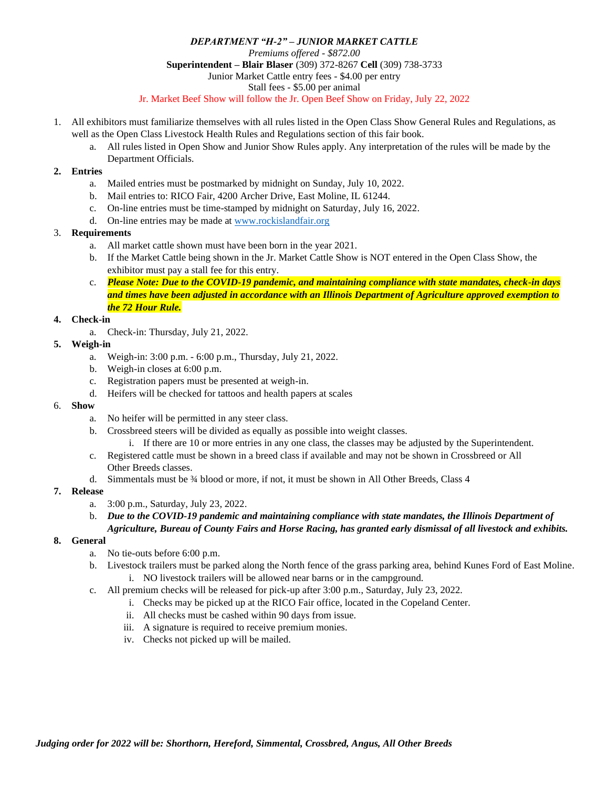## *DEPARTMENT "H-2" – JUNIOR MARKET CATTLE Premiums offered - \$872.00* **Superintendent – Blair Blaser** (309) 372-8267 **Cell** (309) 738-3733 Junior Market Cattle entry fees - \$4.00 per entry Stall fees - \$5.00 per animal Jr. Market Beef Show will follow the Jr. Open Beef Show on Friday, July 22, 2022

- 1. All exhibitors must familiarize themselves with all rules listed in the Open Class Show General Rules and Regulations, as well as the Open Class Livestock Health Rules and Regulations section of this fair book.
	- a. All rules listed in Open Show and Junior Show Rules apply. Any interpretation of the rules will be made by the Department Officials.

## **2. Entries**

- a. Mailed entries must be postmarked by midnight on Sunday, July 10, 2022.
- b. Mail entries to: RICO Fair, 4200 Archer Drive, East Moline, IL 61244.
- c. On-line entries must be time-stamped by midnight on Saturday, July 16, 2022.
- d. On-line entries may be made a[t www.rockislandfair.org](http://www.rockislandfair.org/)

## 3. **Requirements**

- a. All market cattle shown must have been born in the year 2021.
- b. If the Market Cattle being shown in the Jr. Market Cattle Show is NOT entered in the Open Class Show, the exhibitor must pay a stall fee for this entry.
- c. *Please Note: Due to the COVID-19 pandemic, and maintaining compliance with state mandates, check-in days and times have been adjusted in accordance with an Illinois Department of Agriculture approved exemption to the 72 Hour Rule.*

### **4. Check-in**

a. Check-in: Thursday, July 21, 2022.

### **5. Weigh-in**

- a. Weigh-in: 3:00 p.m. 6:00 p.m., Thursday, July 21, 2022.
- b. Weigh-in closes at 6:00 p.m.
- c. Registration papers must be presented at weigh-in.
- d. Heifers will be checked for tattoos and health papers at scales

#### 6. **Show**

- a. No heifer will be permitted in any steer class.
- b. Crossbreed steers will be divided as equally as possible into weight classes.
	- i. If there are 10 or more entries in any one class, the classes may be adjusted by the Superintendent.
- c. Registered cattle must be shown in a breed class if available and may not be shown in Crossbreed or All Other Breeds classes.
- d. Simmentals must be  $\frac{3}{4}$  blood or more, if not, it must be shown in All Other Breeds, Class 4

# **7. Release**

- a. 3:00 p.m., Saturday, July 23, 2022.
- b. *Due to the COVID-19 pandemic and maintaining compliance with state mandates, the Illinois Department of Agriculture, Bureau of County Fairs and Horse Racing, has granted early dismissal of all livestock and exhibits.*

## **8. General**

- a. No tie-outs before 6:00 p.m.
- b. Livestock trailers must be parked along the North fence of the grass parking area, behind Kunes Ford of East Moline. i. NO livestock trailers will be allowed near barns or in the campground.
- c. All premium checks will be released for pick-up after 3:00 p.m., Saturday, July 23, 2022.
	- i. Checks may be picked up at the RICO Fair office, located in the Copeland Center.
		- ii. All checks must be cashed within 90 days from issue.
	- iii. A signature is required to receive premium monies.
	- iv. Checks not picked up will be mailed.